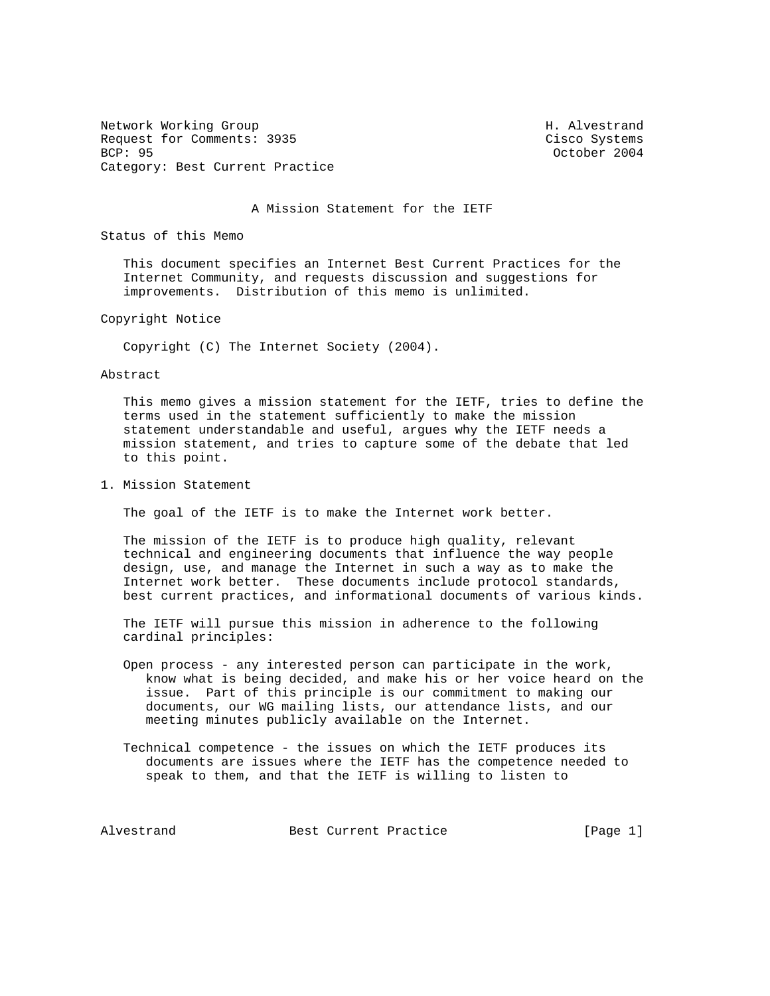Network Working Group Network Morking Group H. Alvestrand Request for Comments: 3935 Cisco Systems<br>BCP: 95 COMMENTS: 2004 Category: Best Current Practice

October 2004

A Mission Statement for the IETF

Status of this Memo

 This document specifies an Internet Best Current Practices for the Internet Community, and requests discussion and suggestions for improvements. Distribution of this memo is unlimited.

Copyright Notice

Copyright (C) The Internet Society (2004).

Abstract

 This memo gives a mission statement for the IETF, tries to define the terms used in the statement sufficiently to make the mission statement understandable and useful, argues why the IETF needs a mission statement, and tries to capture some of the debate that led to this point.

1. Mission Statement

The goal of the IETF is to make the Internet work better.

 The mission of the IETF is to produce high quality, relevant technical and engineering documents that influence the way people design, use, and manage the Internet in such a way as to make the Internet work better. These documents include protocol standards, best current practices, and informational documents of various kinds.

 The IETF will pursue this mission in adherence to the following cardinal principles:

- Open process any interested person can participate in the work, know what is being decided, and make his or her voice heard on the issue. Part of this principle is our commitment to making our documents, our WG mailing lists, our attendance lists, and our meeting minutes publicly available on the Internet.
- Technical competence the issues on which the IETF produces its documents are issues where the IETF has the competence needed to speak to them, and that the IETF is willing to listen to

Alvestrand Best Current Practice and The Resent Practice and The Resent Alvestrand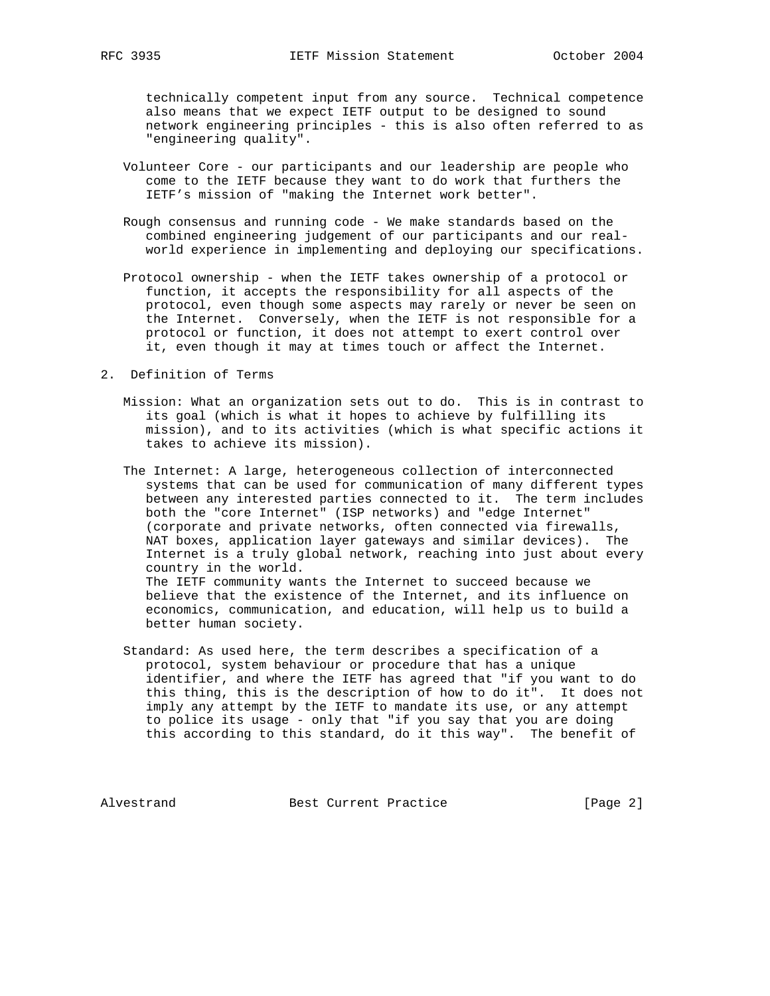technically competent input from any source. Technical competence also means that we expect IETF output to be designed to sound network engineering principles - this is also often referred to as "engineering quality".

- Volunteer Core our participants and our leadership are people who come to the IETF because they want to do work that furthers the IETF's mission of "making the Internet work better".
- Rough consensus and running code We make standards based on the combined engineering judgement of our participants and our real world experience in implementing and deploying our specifications.
- Protocol ownership when the IETF takes ownership of a protocol or function, it accepts the responsibility for all aspects of the protocol, even though some aspects may rarely or never be seen on the Internet. Conversely, when the IETF is not responsible for a protocol or function, it does not attempt to exert control over it, even though it may at times touch or affect the Internet.
- 2. Definition of Terms
	- Mission: What an organization sets out to do. This is in contrast to its goal (which is what it hopes to achieve by fulfilling its mission), and to its activities (which is what specific actions it takes to achieve its mission).
	- The Internet: A large, heterogeneous collection of interconnected systems that can be used for communication of many different types between any interested parties connected to it. The term includes both the "core Internet" (ISP networks) and "edge Internet" (corporate and private networks, often connected via firewalls, NAT boxes, application layer gateways and similar devices). The Internet is a truly global network, reaching into just about every country in the world. The IETF community wants the Internet to succeed because we believe that the existence of the Internet, and its influence on economics, communication, and education, will help us to build a better human society.
	- Standard: As used here, the term describes a specification of a protocol, system behaviour or procedure that has a unique identifier, and where the IETF has agreed that "if you want to do this thing, this is the description of how to do it". It does not imply any attempt by the IETF to mandate its use, or any attempt to police its usage - only that "if you say that you are doing this according to this standard, do it this way". The benefit of

Alvestrand Best Current Practice [Page 2]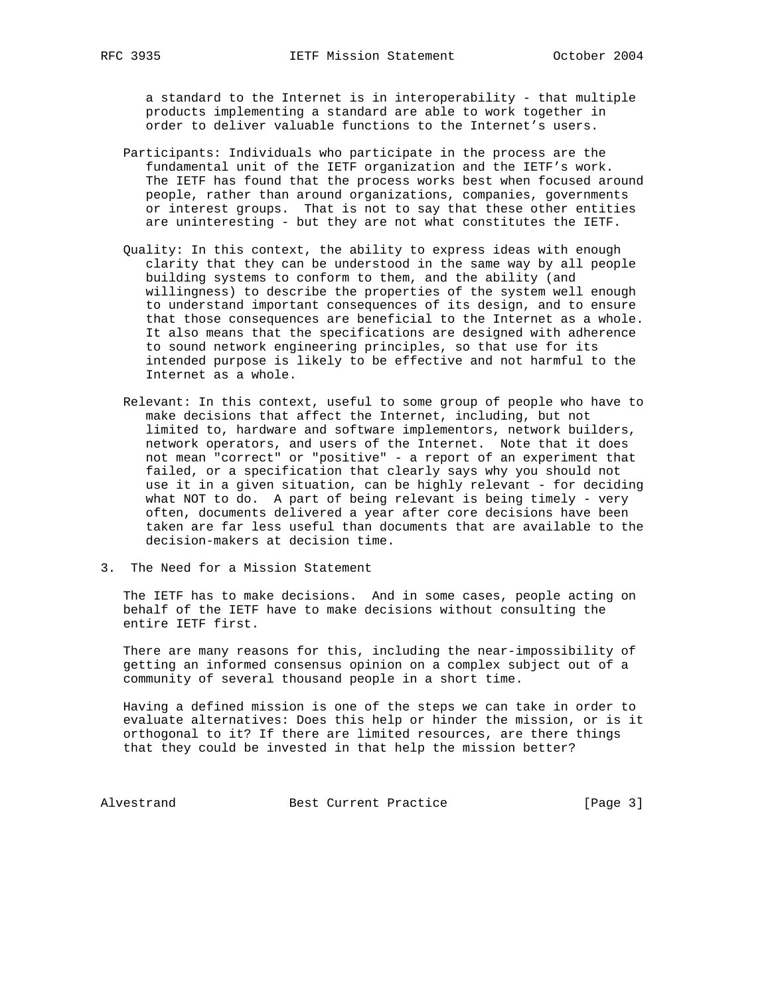a standard to the Internet is in interoperability - that multiple products implementing a standard are able to work together in order to deliver valuable functions to the Internet's users.

- Participants: Individuals who participate in the process are the fundamental unit of the IETF organization and the IETF's work. The IETF has found that the process works best when focused around people, rather than around organizations, companies, governments or interest groups. That is not to say that these other entities are uninteresting - but they are not what constitutes the IETF.
- Quality: In this context, the ability to express ideas with enough clarity that they can be understood in the same way by all people building systems to conform to them, and the ability (and willingness) to describe the properties of the system well enough to understand important consequences of its design, and to ensure that those consequences are beneficial to the Internet as a whole. It also means that the specifications are designed with adherence to sound network engineering principles, so that use for its intended purpose is likely to be effective and not harmful to the Internet as a whole.
- Relevant: In this context, useful to some group of people who have to make decisions that affect the Internet, including, but not limited to, hardware and software implementors, network builders, network operators, and users of the Internet. Note that it does not mean "correct" or "positive" - a report of an experiment that failed, or a specification that clearly says why you should not use it in a given situation, can be highly relevant - for deciding what NOT to do. A part of being relevant is being timely - very often, documents delivered a year after core decisions have been taken are far less useful than documents that are available to the decision-makers at decision time.
- 3. The Need for a Mission Statement

 The IETF has to make decisions. And in some cases, people acting on behalf of the IETF have to make decisions without consulting the entire IETF first.

 There are many reasons for this, including the near-impossibility of getting an informed consensus opinion on a complex subject out of a community of several thousand people in a short time.

 Having a defined mission is one of the steps we can take in order to evaluate alternatives: Does this help or hinder the mission, or is it orthogonal to it? If there are limited resources, are there things that they could be invested in that help the mission better?

Alvestrand Best Current Practice [Page 3]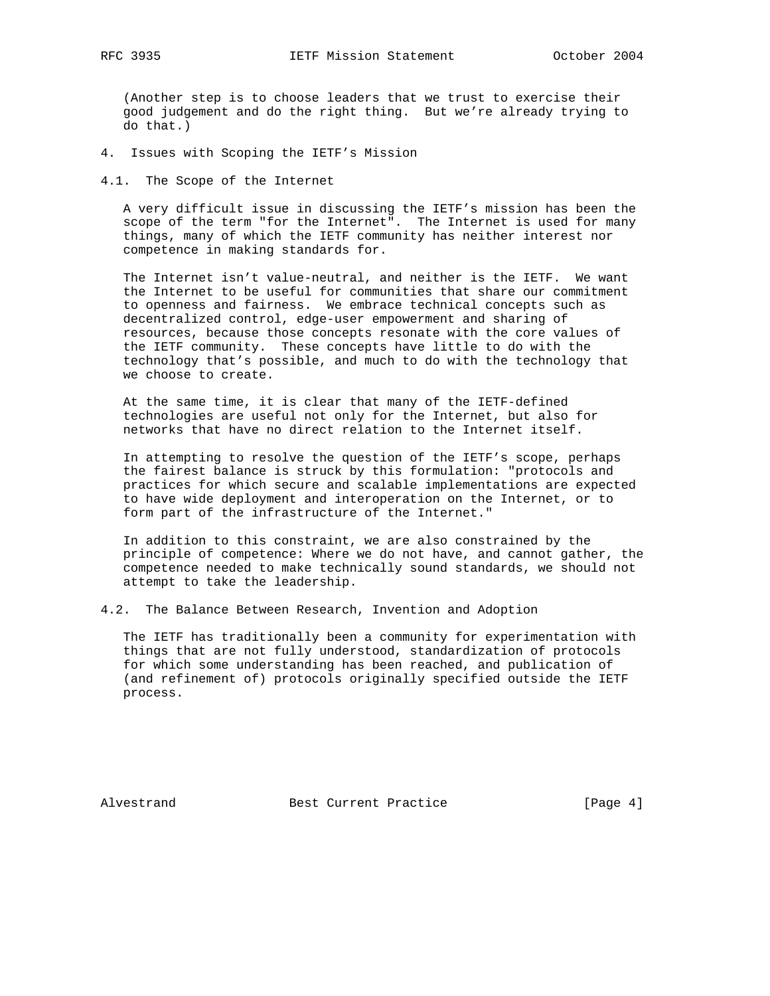(Another step is to choose leaders that we trust to exercise their good judgement and do the right thing. But we're already trying to do that.)

4. Issues with Scoping the IETF's Mission

4.1. The Scope of the Internet

 A very difficult issue in discussing the IETF's mission has been the scope of the term "for the Internet". The Internet is used for many things, many of which the IETF community has neither interest nor competence in making standards for.

 The Internet isn't value-neutral, and neither is the IETF. We want the Internet to be useful for communities that share our commitment to openness and fairness. We embrace technical concepts such as decentralized control, edge-user empowerment and sharing of resources, because those concepts resonate with the core values of the IETF community. These concepts have little to do with the technology that's possible, and much to do with the technology that we choose to create.

 At the same time, it is clear that many of the IETF-defined technologies are useful not only for the Internet, but also for networks that have no direct relation to the Internet itself.

 In attempting to resolve the question of the IETF's scope, perhaps the fairest balance is struck by this formulation: "protocols and practices for which secure and scalable implementations are expected to have wide deployment and interoperation on the Internet, or to form part of the infrastructure of the Internet."

 In addition to this constraint, we are also constrained by the principle of competence: Where we do not have, and cannot gather, the competence needed to make technically sound standards, we should not attempt to take the leadership.

4.2. The Balance Between Research, Invention and Adoption

 The IETF has traditionally been a community for experimentation with things that are not fully understood, standardization of protocols for which some understanding has been reached, and publication of (and refinement of) protocols originally specified outside the IETF process.

Alvestrand Best Current Practice [Page 4]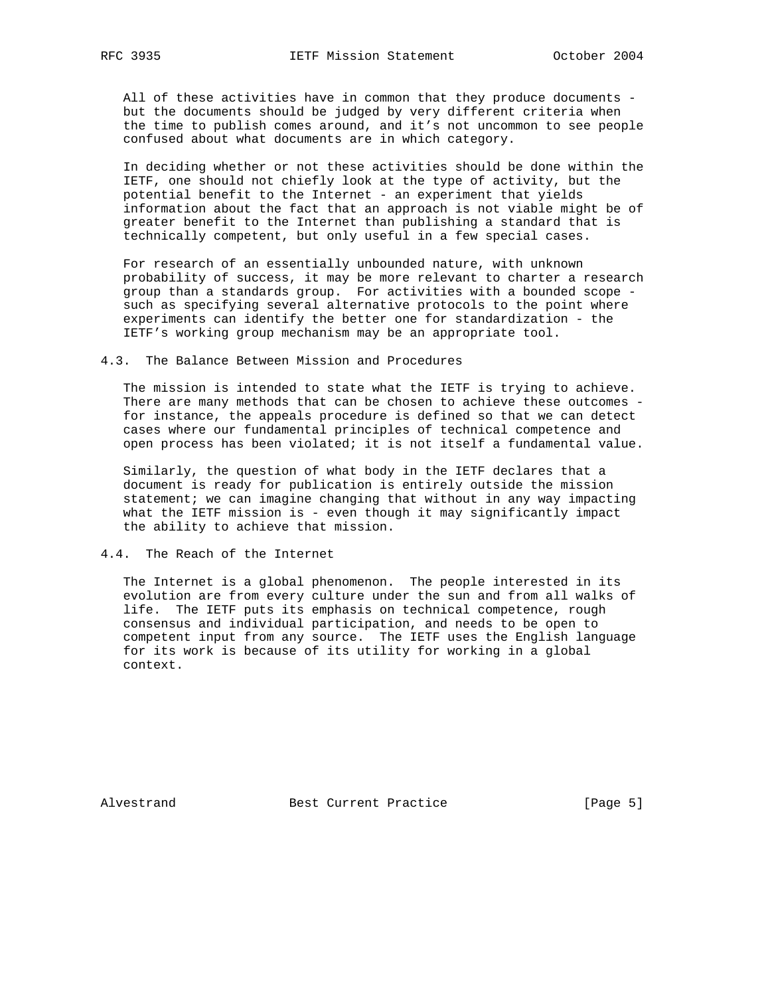All of these activities have in common that they produce documents but the documents should be judged by very different criteria when the time to publish comes around, and it's not uncommon to see people confused about what documents are in which category.

 In deciding whether or not these activities should be done within the IETF, one should not chiefly look at the type of activity, but the potential benefit to the Internet - an experiment that yields information about the fact that an approach is not viable might be of greater benefit to the Internet than publishing a standard that is technically competent, but only useful in a few special cases.

 For research of an essentially unbounded nature, with unknown probability of success, it may be more relevant to charter a research group than a standards group. For activities with a bounded scope such as specifying several alternative protocols to the point where experiments can identify the better one for standardization - the IETF's working group mechanism may be an appropriate tool.

4.3. The Balance Between Mission and Procedures

 The mission is intended to state what the IETF is trying to achieve. There are many methods that can be chosen to achieve these outcomes for instance, the appeals procedure is defined so that we can detect cases where our fundamental principles of technical competence and open process has been violated; it is not itself a fundamental value.

 Similarly, the question of what body in the IETF declares that a document is ready for publication is entirely outside the mission statement; we can imagine changing that without in any way impacting what the IETF mission is - even though it may significantly impact the ability to achieve that mission.

4.4. The Reach of the Internet

 The Internet is a global phenomenon. The people interested in its evolution are from every culture under the sun and from all walks of life. The IETF puts its emphasis on technical competence, rough consensus and individual participation, and needs to be open to competent input from any source. The IETF uses the English language for its work is because of its utility for working in a global context.

Alvestrand Best Current Practice [Page 5]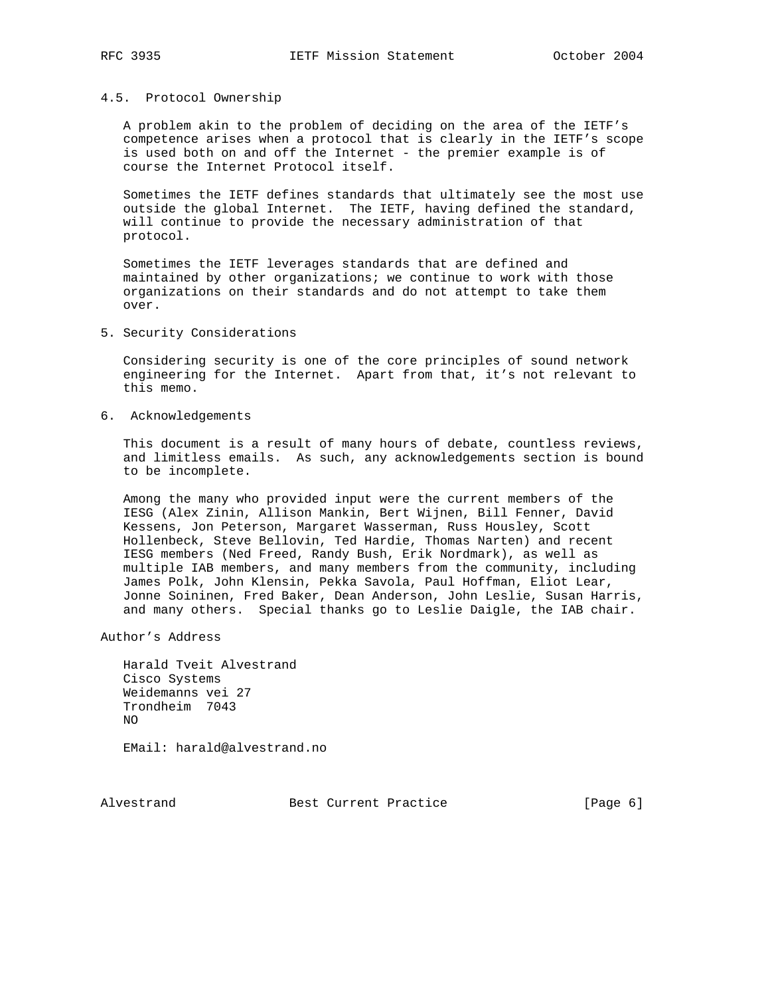## 4.5. Protocol Ownership

 A problem akin to the problem of deciding on the area of the IETF's competence arises when a protocol that is clearly in the IETF's scope is used both on and off the Internet - the premier example is of course the Internet Protocol itself.

 Sometimes the IETF defines standards that ultimately see the most use outside the global Internet. The IETF, having defined the standard, will continue to provide the necessary administration of that protocol.

 Sometimes the IETF leverages standards that are defined and maintained by other organizations; we continue to work with those organizations on their standards and do not attempt to take them over.

5. Security Considerations

 Considering security is one of the core principles of sound network engineering for the Internet. Apart from that, it's not relevant to this memo.

6. Acknowledgements

 This document is a result of many hours of debate, countless reviews, and limitless emails. As such, any acknowledgements section is bound to be incomplete.

 Among the many who provided input were the current members of the IESG (Alex Zinin, Allison Mankin, Bert Wijnen, Bill Fenner, David Kessens, Jon Peterson, Margaret Wasserman, Russ Housley, Scott Hollenbeck, Steve Bellovin, Ted Hardie, Thomas Narten) and recent IESG members (Ned Freed, Randy Bush, Erik Nordmark), as well as multiple IAB members, and many members from the community, including James Polk, John Klensin, Pekka Savola, Paul Hoffman, Eliot Lear, Jonne Soininen, Fred Baker, Dean Anderson, John Leslie, Susan Harris, and many others. Special thanks go to Leslie Daigle, the IAB chair.

Author's Address

 Harald Tveit Alvestrand Cisco Systems Weidemanns vei 27 Trondheim 7043 NO

EMail: harald@alvestrand.no

Alvestrand Best Current Practice [Page 6]